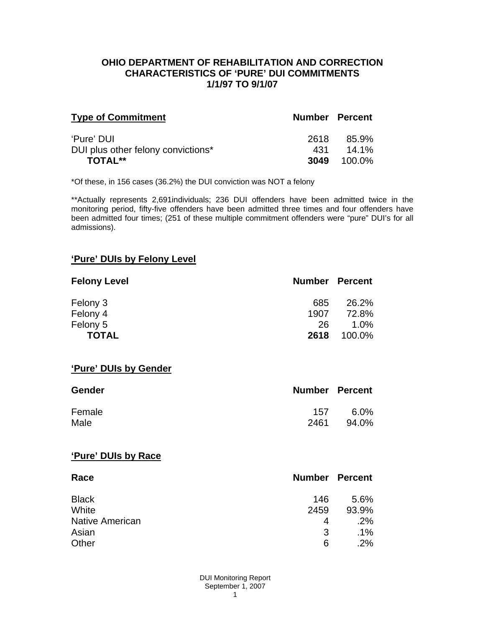### **OHIO DEPARTMENT OF REHABILITATION AND CORRECTION CHARACTERISTICS OF 'PURE' DUI COMMITMENTS 1/1/97 TO 9/1/07**

| <b>Type of Commitment</b>          | <b>Number Percent</b> |          |
|------------------------------------|-----------------------|----------|
| 'Pure' DUI                         | 2618                  | 85.9%    |
| DUI plus other felony convictions* | 431                   | $14.1\%$ |
| TOTAL**                            | 3049                  | 100.0%   |

\*Of these, in 156 cases (36.2%) the DUI conviction was NOT a felony

\*\*Actually represents 2,691individuals; 236 DUI offenders have been admitted twice in the monitoring period, fifty-five offenders have been admitted three times and four offenders have been admitted four times; (251 of these multiple commitment offenders were "pure" DUI's for all admissions).

# **'Pure' DUIs by Felony Level**

| <b>Felony Level</b> | <b>Number Percent</b> |         |
|---------------------|-----------------------|---------|
| Felony 3            | 685                   | 26.2%   |
| Felony 4            | 1907                  | 72.8%   |
| Felony 5            | 26.                   | $1.0\%$ |
| <b>TOTAL</b>        | 2618                  | 100.0%  |

#### **'Pure' DUIs by Gender**

| <b>Gender</b> | <b>Number Percent</b> |         |
|---------------|-----------------------|---------|
| Female        | 157                   | $6.0\%$ |
| Male          | 2461                  | 94.0%   |

#### **'Pure' DUIs by Race**

| Race                   | <b>Number Percent</b> |        |
|------------------------|-----------------------|--------|
| <b>Black</b>           | 146                   | 5.6%   |
| White                  | 2459                  | 93.9%  |
| <b>Native American</b> | 4                     | .2%    |
| Asian                  | 3                     | $.1\%$ |
| Other                  | 6                     | .2%    |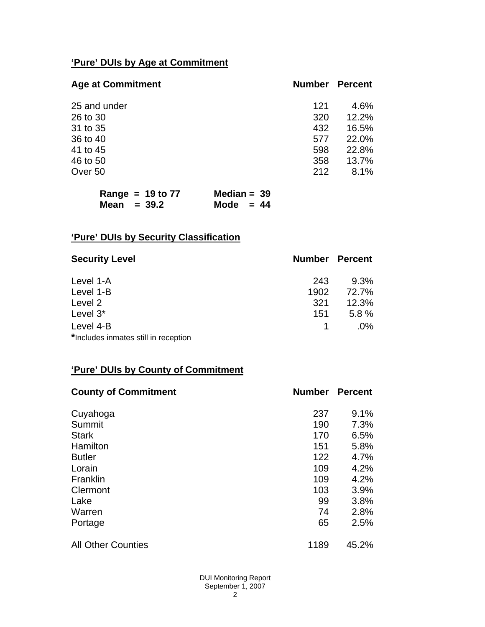# **'Pure' DUIs by Age at Commitment**

| <b>Age at Commitment</b> | <b>Number</b> | <b>Percent</b> |
|--------------------------|---------------|----------------|
| 25 and under             | 121           | 4.6%           |
| 26 to 30                 | 320           | 12.2%          |
| 31 to 35                 | 432           | 16.5%          |
| 36 to 40                 | 577           | 22.0%          |
| 41 to 45                 | 598           | 22.8%          |
| 46 to 50                 | 358           | 13.7%          |
| Over 50                  | 212           | 8.1%           |

| Range = $19$ to $77$ | Median = $39$ |
|----------------------|---------------|
| Mean $=$ 39.2        | Mode $= 44$   |

# **'Pure' DUIs by Security Classification**

| <b>Security Level</b>                | <b>Number Percent</b> |        |
|--------------------------------------|-----------------------|--------|
| Level 1-A                            | 243                   | 9.3%   |
| Level 1-B                            | 1902                  | 72.7%  |
| Level 2                              | 321                   | 12.3%  |
| Level 3*                             | 151                   | 5.8%   |
| Level 4-B                            |                       | $.0\%$ |
| *Includes inmates still in reception |                       |        |

# **'Pure' DUIs by County of Commitment**

| <b>County of Commitment</b> | <b>Number</b> | <b>Percent</b> |
|-----------------------------|---------------|----------------|
| Cuyahoga                    | 237           | 9.1%           |
| Summit                      | 190           | 7.3%           |
| <b>Stark</b>                | 170           | 6.5%           |
| Hamilton                    | 151           | 5.8%           |
| <b>Butler</b>               | 122           | 4.7%           |
| Lorain                      | 109           | 4.2%           |
| Franklin                    | 109           | 4.2%           |
| Clermont                    | 103           | 3.9%           |
| Lake                        | 99            | 3.8%           |
| Warren                      | 74            | 2.8%           |
| Portage                     | 65            | 2.5%           |
| <b>All Other Counties</b>   | 1189          | 45.2%          |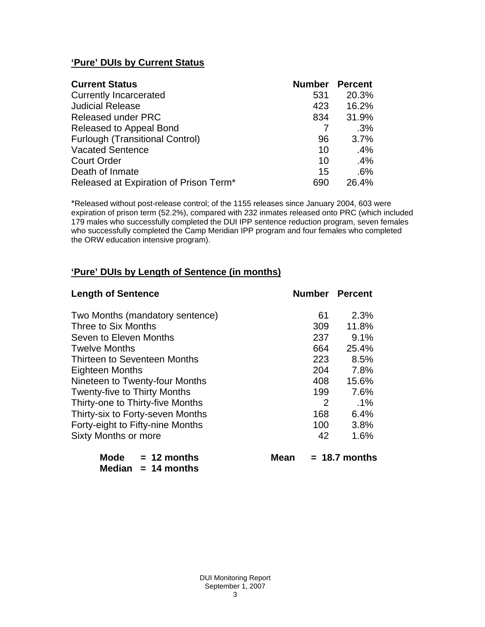# **'Pure' DUIs by Current Status**

| <b>Current Status</b>                  | <b>Number</b> | <b>Percent</b> |
|----------------------------------------|---------------|----------------|
| <b>Currently Incarcerated</b>          | 531           | 20.3%          |
| <b>Judicial Release</b>                | 423           | 16.2%          |
| <b>Released under PRC</b>              | 834           | 31.9%          |
| Released to Appeal Bond                |               | .3%            |
| <b>Furlough (Transitional Control)</b> | 96            | 3.7%           |
| <b>Vacated Sentence</b>                | 10            | .4%            |
| <b>Court Order</b>                     | 10            | .4%            |
| Death of Inmate                        | 15            | .6%            |
| Released at Expiration of Prison Term* | 690           | 26.4%          |

\*Released without post-release control; of the 1155 releases since January 2004, 603 were expiration of prison term (52.2%), compared with 232 inmates released onto PRC (which included 179 males who successfully completed the DUI IPP sentence reduction program, seven females who successfully completed the Camp Meridian IPP program and four females who completed the ORW education intensive program).

# **'Pure' DUIs by Length of Sentence (in months)**

| <b>Length of Sentence</b>           | <b>Number Percent</b> |                 |
|-------------------------------------|-----------------------|-----------------|
| Two Months (mandatory sentence)     | 61                    | 2.3%            |
| Three to Six Months                 | 309                   | 11.8%           |
| Seven to Eleven Months              | 237                   | 9.1%            |
| <b>Twelve Months</b>                | 664                   | 25.4%           |
| <b>Thirteen to Seventeen Months</b> | 223                   | 8.5%            |
| <b>Eighteen Months</b>              | 204                   | 7.8%            |
| Nineteen to Twenty-four Months      | 408                   | 15.6%           |
| <b>Twenty-five to Thirty Months</b> | 199                   | 7.6%            |
| Thirty-one to Thirty-five Months    | 2                     | $.1\%$          |
| Thirty-six to Forty-seven Months    | 168                   | 6.4%            |
| Forty-eight to Fifty-nine Months    | 100                   | 3.8%            |
| <b>Sixty Months or more</b>         | 42                    | 1.6%            |
| Mode<br>$= 12$ months<br>Mean       |                       | $= 18.7$ months |

 **Median = 14 months**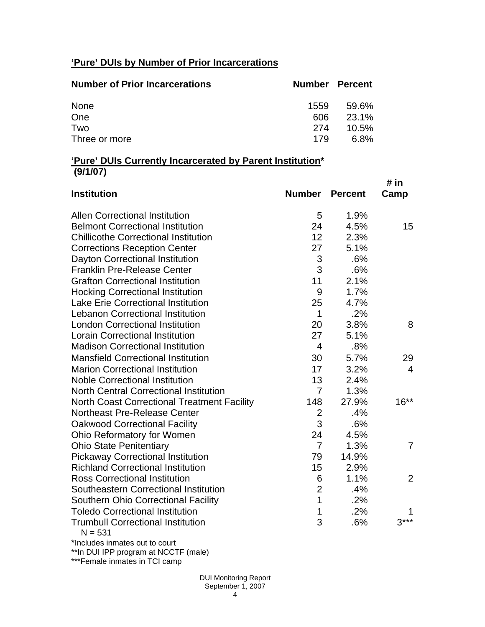# **'Pure' DUIs by Number of Prior Incarcerations**

| <b>Number of Prior Incarcerations</b> | <b>Number Percent</b> |          |
|---------------------------------------|-----------------------|----------|
| None                                  | 1559                  | 59.6%    |
| One                                   | 606                   | 23.1%    |
| Two                                   | 274                   | $10.5\%$ |
| Three or more                         | 179                   | 6.8%     |

### **'Pure' DUIs Currently Incarcerated by Parent Institution\* (9/1/07)**

| <b>Institution</b>                                    | <b>Number</b>  | <b>Percent</b> | # in<br>Camp   |
|-------------------------------------------------------|----------------|----------------|----------------|
| <b>Allen Correctional Institution</b>                 | 5              | 1.9%           |                |
| <b>Belmont Correctional Institution</b>               | 24             | 4.5%           | 15             |
| <b>Chillicothe Correctional Institution</b>           | 12             | 2.3%           |                |
| <b>Corrections Reception Center</b>                   | 27             | 5.1%           |                |
| Dayton Correctional Institution                       | 3              | .6%            |                |
| <b>Franklin Pre-Release Center</b>                    | 3              | .6%            |                |
| <b>Grafton Correctional Institution</b>               | 11             | 2.1%           |                |
| <b>Hocking Correctional Institution</b>               | 9              | 1.7%           |                |
| <b>Lake Erie Correctional Institution</b>             | 25             | 4.7%           |                |
| <b>Lebanon Correctional Institution</b>               | $\mathbf 1$    | .2%            |                |
| <b>London Correctional Institution</b>                | 20             | 3.8%           | 8              |
| <b>Lorain Correctional Institution</b>                | 27             | 5.1%           |                |
| <b>Madison Correctional Institution</b>               | $\overline{4}$ | .8%            |                |
| <b>Mansfield Correctional Institution</b>             | 30             | 5.7%           | 29             |
| <b>Marion Correctional Institution</b>                | 17             | 3.2%           | 4              |
| <b>Noble Correctional Institution</b>                 | 13             | 2.4%           |                |
| <b>North Central Correctional Institution</b>         | 7              | 1.3%           |                |
| <b>North Coast Correctional Treatment Facility</b>    | 148            | 27.9%          | $16***$        |
| <b>Northeast Pre-Release Center</b>                   | $\overline{2}$ | .4%            |                |
| <b>Oakwood Correctional Facility</b>                  | 3              | .6%            |                |
| Ohio Reformatory for Women                            | 24             | 4.5%           |                |
| <b>Ohio State Penitentiary</b>                        | $\overline{7}$ | 1.3%           | $\overline{7}$ |
| <b>Pickaway Correctional Institution</b>              | 79             | 14.9%          |                |
| <b>Richland Correctional Institution</b>              | 15             | 2.9%           |                |
| <b>Ross Correctional Institution</b>                  | 6              | 1.1%           | $\overline{2}$ |
| Southeastern Correctional Institution                 | $\overline{2}$ | .4%            |                |
| <b>Southern Ohio Correctional Facility</b>            | 1              | .2%            |                |
| <b>Toledo Correctional Institution</b>                | 1              | .2%            |                |
| <b>Trumbull Correctional Institution</b><br>$N = 531$ | 3              | .6%            | $3***$         |

\*Includes inmates out to court

\*\*In DUI IPP program at NCCTF (male)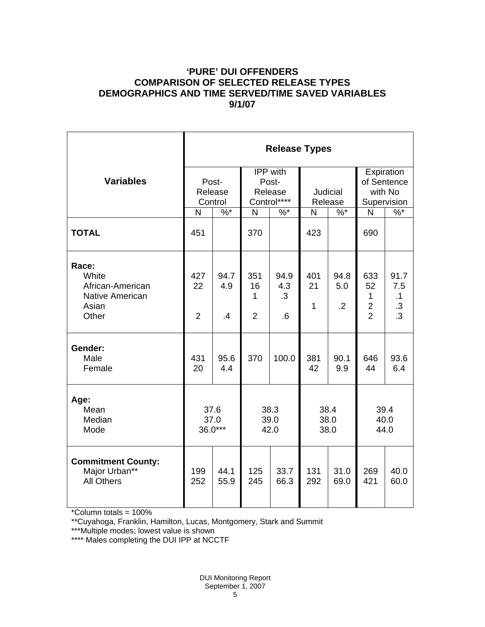# **'PURE' DUI OFFENDERS COMPARISON OF SELECTED RELEASE TYPES DEMOGRAPHICS AND TIME SERVED/TIME SAVED VARIABLES 9/1/07**

|                                                                                | <b>Release Types</b>        |                        |                                             |                                             |                      |                               |                                                               |                                                         |  |  |
|--------------------------------------------------------------------------------|-----------------------------|------------------------|---------------------------------------------|---------------------------------------------|----------------------|-------------------------------|---------------------------------------------------------------|---------------------------------------------------------|--|--|
| <b>Variables</b>                                                               | Post-<br>Release<br>Control |                        | IPP with<br>Post-<br>Release<br>Control**** |                                             | Judicial<br>Release  |                               | Expiration<br>of Sentence<br>with No<br>Supervision           |                                                         |  |  |
|                                                                                | $\mathsf{N}$                | $\%$ *                 | N                                           | $%$ *                                       | N                    | $\%$ *                        | $\mathsf{N}$                                                  | $\frac{9}{6}$                                           |  |  |
| <b>TOTAL</b>                                                                   | 451                         |                        | 370                                         |                                             | 423                  |                               | 690                                                           |                                                         |  |  |
| Race:<br>White<br>African-American<br><b>Native American</b><br>Asian<br>Other | 427<br>22<br>$\overline{2}$ | 94.7<br>4.9<br>$\cdot$ | 351<br>16<br>1<br>$\overline{2}$            | 94.9<br>4.3<br>$\cdot$ 3<br>$.6\phantom{0}$ | 401<br>21<br>1       | 94.8<br>5.0<br>$\overline{2}$ | 633<br>52<br>$\mathbf{1}$<br>$\overline{2}$<br>$\overline{2}$ | 91.7<br>7.5<br>$\cdot$ 1<br>$\cdot$ 3<br>$\overline{3}$ |  |  |
| Gender:<br>Male<br>Female                                                      | 431<br>20                   | 95.6<br>4.4            | 370                                         | 100.0                                       | 381<br>42            | 90.1<br>9.9                   | 646<br>44                                                     | 93.6<br>6.4                                             |  |  |
| Age:<br>Mean<br>Median<br>Mode                                                 | 37.6<br>37.0<br>36.0***     |                        | 38.3<br>39.0<br>42.0                        |                                             | 38.4<br>38.0<br>38.0 |                               | 39.4<br>40.0<br>44.0                                          |                                                         |  |  |
| <b>Commitment County:</b><br>Major Urban**<br><b>All Others</b>                | 199<br>252                  | 44.1<br>55.9           | 125<br>245                                  | 33.7<br>66.3                                | 131<br>292           | 31.0<br>69.0                  | 269<br>421                                                    | 40.0<br>60.0                                            |  |  |

\*Column totals = 100%

\*\*Cuyahoga, Franklin, Hamilton, Lucas, Montgomery, Stark and Summit

\*\*\*Multiple modes; lowest value is shown

\*\*\*\* Males completing the DUI IPP at NCCTF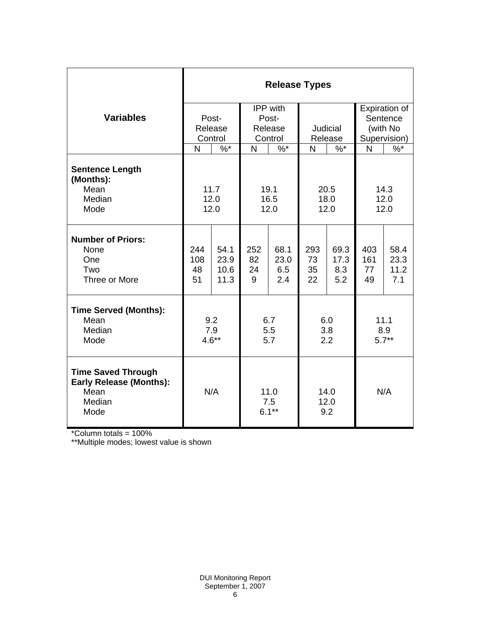|                                                                                       | <b>Release Types</b> |         |                        |        |                     |        |              |               |  |  |
|---------------------------------------------------------------------------------------|----------------------|---------|------------------------|--------|---------------------|--------|--------------|---------------|--|--|
|                                                                                       |                      |         | IPP with               |        |                     |        |              | Expiration of |  |  |
| <b>Variables</b>                                                                      |                      | Post-   | Post-                  |        |                     |        |              | Sentence      |  |  |
|                                                                                       |                      | Release | Release                |        | Judicial            |        | (with No     |               |  |  |
|                                                                                       | Control              |         | Control                |        | Release             |        | Supervision) |               |  |  |
|                                                                                       | N                    | $\%$ *  | N                      | $\%$ * | N                   | $\%$ * | N            | $\%$ *        |  |  |
| <b>Sentence Length</b><br>(Months):                                                   |                      |         |                        |        |                     |        |              |               |  |  |
| Mean                                                                                  | 11.7                 |         | 19.1                   |        | 20.5                |        | 14.3         |               |  |  |
| Median<br>Mode                                                                        | 12.0                 |         | 16.5                   |        | 18.0<br>12.0        |        | 12.0<br>12.0 |               |  |  |
|                                                                                       | 12.0                 |         | 12.0                   |        |                     |        |              |               |  |  |
| <b>Number of Priors:</b><br>None                                                      | 244                  | 54.1    | 252                    | 68.1   | 293                 | 69.3   | 403          | 58.4          |  |  |
| One                                                                                   | 108                  | 23.9    | 82                     | 23.0   | 73                  | 17.3   | 161          | 23.3          |  |  |
| Two                                                                                   | 48                   | 10.6    | 24                     | 6.5    | 35                  | 8.3    | 77           | 11.2          |  |  |
| Three or More                                                                         | 51                   | 11.3    | 9                      | 2.4    | 22                  | 5.2    | 49           | 7.1           |  |  |
| <b>Time Served (Months):</b>                                                          |                      |         |                        |        |                     |        |              |               |  |  |
| Mean                                                                                  | 9.2                  |         | 6.7                    |        | 6.0                 |        | 11.1         |               |  |  |
| Median                                                                                | 7.9                  |         | 5.5                    |        | 3.8                 |        | 8.9          |               |  |  |
| Mode                                                                                  | $4.6**$              |         | 5.7                    |        | 2.2                 |        | $5.7**$      |               |  |  |
| <b>Time Saved Through</b><br><b>Early Release (Months):</b><br>Mean<br>Median<br>Mode | N/A                  |         | 11.0<br>7.5<br>$6.1**$ |        | 14.0<br>12.0<br>9.2 |        | N/A          |               |  |  |

\*Column totals = 100%

\*\*Multiple modes; lowest value is shown